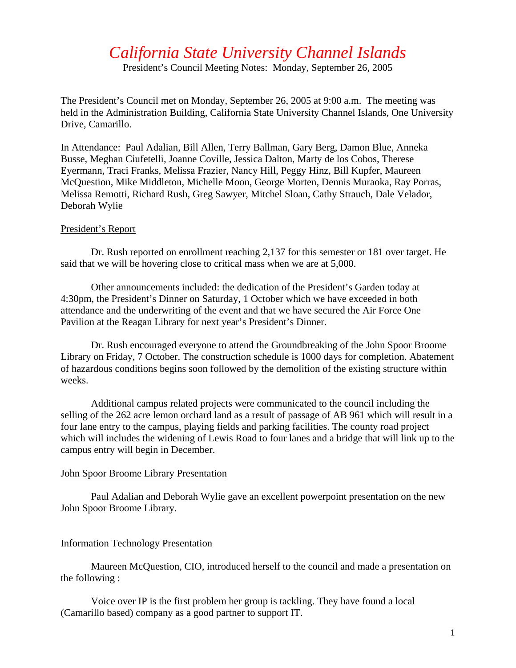# *California State University Channel Islands*

President's Council Meeting Notes: Monday, September 26, 2005

The President's Council met on Monday, September 26, 2005 at 9:00 a.m. The meeting was held in the Administration Building, California State University Channel Islands, One University Drive, Camarillo.

In Attendance: Paul Adalian, Bill Allen, Terry Ballman, Gary Berg, Damon Blue, Anneka Busse, Meghan Ciufetelli, Joanne Coville, Jessica Dalton, Marty de los Cobos, Therese Eyermann, Traci Franks, Melissa Frazier, Nancy Hill, Peggy Hinz, Bill Kupfer, Maureen McQuestion, Mike Middleton, Michelle Moon, George Morten, Dennis Muraoka, Ray Porras, Melissa Remotti, Richard Rush, Greg Sawyer, Mitchel Sloan, Cathy Strauch, Dale Velador, Deborah Wylie

#### President's Report

 Dr. Rush reported on enrollment reaching 2,137 for this semester or 181 over target. He said that we will be hovering close to critical mass when we are at 5,000.

 Other announcements included: the dedication of the President's Garden today at 4:30pm, the President's Dinner on Saturday, 1 October which we have exceeded in both attendance and the underwriting of the event and that we have secured the Air Force One Pavilion at the Reagan Library for next year's President's Dinner.

 Dr. Rush encouraged everyone to attend the Groundbreaking of the John Spoor Broome Library on Friday, 7 October. The construction schedule is 1000 days for completion. Abatement of hazardous conditions begins soon followed by the demolition of the existing structure within weeks.

 Additional campus related projects were communicated to the council including the selling of the 262 acre lemon orchard land as a result of passage of AB 961 which will result in a four lane entry to the campus, playing fields and parking facilities. The county road project which will includes the widening of Lewis Road to four lanes and a bridge that will link up to the campus entry will begin in December.

#### John Spoor Broome Library Presentation

 Paul Adalian and Deborah Wylie gave an excellent powerpoint presentation on the new John Spoor Broome Library.

#### Information Technology Presentation

 Maureen McQuestion, CIO, introduced herself to the council and made a presentation on the following :

 Voice over IP is the first problem her group is tackling. They have found a local (Camarillo based) company as a good partner to support IT.